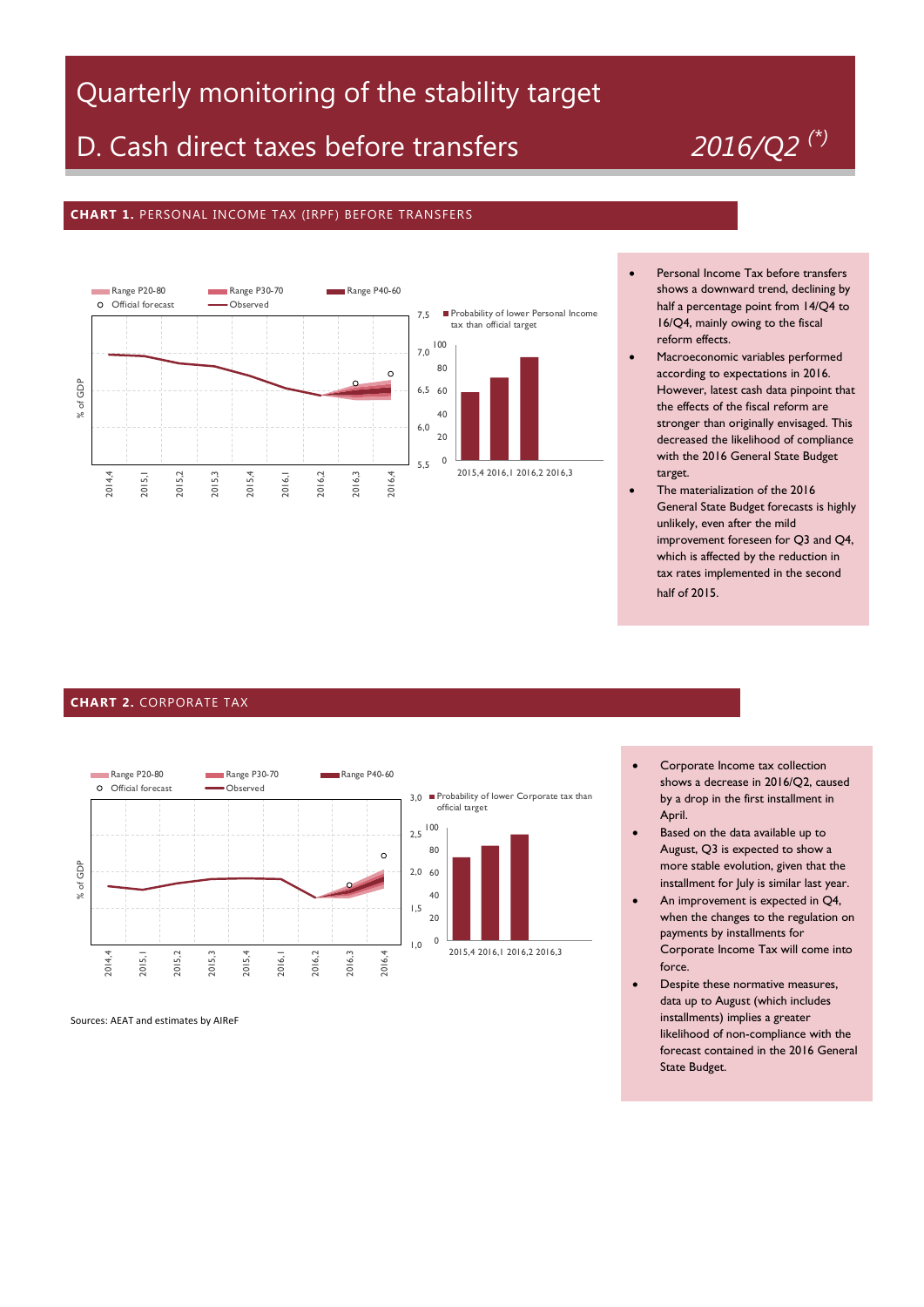## Quarterly monitoring of the stability target

# D. Cash direct taxes before transfers *2016/Q2 (\*)*

### **CHART 1.** PERSONAL INCOME TAX (IRPF) BEFORE TRANSFERS



- Personal Income Tax before transfers shows a downward trend, declining by half a percentage point from 14/Q4 to 16/Q4, mainly owing to the fiscal reform effects.
- Macroeconomic variables performed according to expectations in 2016. However, latest cash data pinpoint that the effects of the fiscal reform are stronger than originally envisaged. This decreased the likelihood of compliance with the 2016 General State Budget target.
- The materialization of the 2016 General State Budget forecasts is highly unlikely, even after the mild improvement foreseen for Q3 and Q4, which is affected by the reduction in tax rates implemented in the second half of 2015.

#### **CHART 2.** CORPORATE TAX



Sources: AEAT and estimates by AIReF

- Corporate Income tax collection shows a decrease in 2016/Q2, caused by a drop in the first installment in April.
- Based on the data available up to August, Q3 is expected to show a more stable evolution, given that the installment for July is similar last year.
- An improvement is expected in Q4, when the changes to the regulation on payments by installments for Corporate Income Tax will come into force.
- Despite these normative measures, data up to August (which includes installments) implies a greater likelihood of non-compliance with the forecast contained in the 2016 General State Budget.